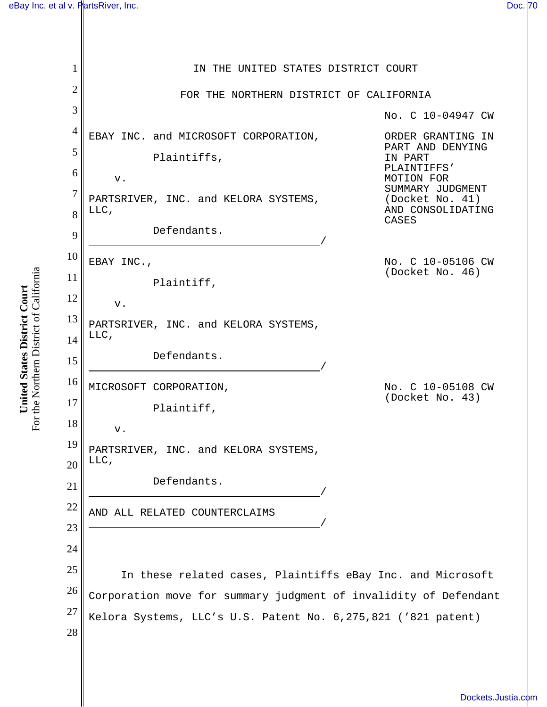1 2 3 4 5 6 7 8 9 10 11 12 13 14 15 16 17 18 19 20 21 22 23 24 25 26 27 28 IN THE UNITED STATES DISTRICT COURT FOR THE NORTHERN DISTRICT OF CALIFORNIA EBAY INC. and MICROSOFT CORPORATION, Plaintiffs, v. PARTSRIVER, INC. and KELORA SYSTEMS, LLC, Defendants. EBAY INC., Plaintiff, v. PARTSRIVER, INC. and KELORA SYSTEMS, LLC, Defendants. MICROSOFT CORPORATION, Plaintiff, v. PARTSRIVER, INC. and KELORA SYSTEMS, LLC, Defendants. AND ALL RELATED COUNTERCLAIMS / No. C 10-04947 CW ORDER GRANTING IN PART AND DENYING IN PART PLAINTIFFS' MOTION FOR SUMMARY JUDGMENT (Docket No. 41) AND CONSOLIDATING CASES No. C 10-05106 CW (Docket No. 46) No. C 10-05108 CW (Docket No. 43) In these related cases, Plaintiffs eBay Inc. and Microsoft Corporation move for summary judgment of invalidity of Defendant Kelora Systems, LLC's U.S. Patent No. 6,275,821 ('821 patent)

For the Northern District of California For the Northern District of California United States District Court **United States District Court**

[Dockets.Justia.com](http://dockets.justia.com/)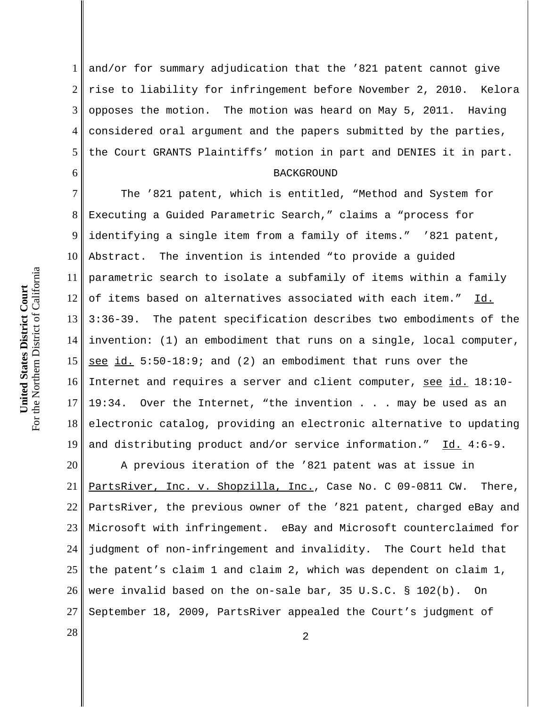6

1 2 3 4 5 and/or for summary adjudication that the '821 patent cannot give rise to liability for infringement before November 2, 2010. Kelora opposes the motion. The motion was heard on May 5, 2011. Having considered oral argument and the papers submitted by the parties, the Court GRANTS Plaintiffs' motion in part and DENIES it in part.

## BACKGROUND

7 8 9 10 11 12 13 14 15 16 17 18 19 The '821 patent, which is entitled, "Method and System for Executing a Guided Parametric Search," claims a "process for identifying a single item from a family of items." '821 patent, Abstract. The invention is intended "to provide a guided parametric search to isolate a subfamily of items within a family of items based on alternatives associated with each item." Id. 3:36-39. The patent specification describes two embodiments of the invention: (1) an embodiment that runs on a single, local computer, see id. 5:50-18:9; and (2) an embodiment that runs over the Internet and requires a server and client computer, see id. 18:10-19:34. Over the Internet, "the invention . . . may be used as an electronic catalog, providing an electronic alternative to updating and distributing product and/or service information."  $Id. 4:6-9$ .

20 21 22 23 24 25 26 27 A previous iteration of the '821 patent was at issue in PartsRiver, Inc. v. Shopzilla, Inc., Case No. C 09-0811 CW. There, PartsRiver, the previous owner of the '821 patent, charged eBay and Microsoft with infringement. eBay and Microsoft counterclaimed for judgment of non-infringement and invalidity. The Court held that the patent's claim 1 and claim 2, which was dependent on claim 1, were invalid based on the on-sale bar, 35 U.S.C. § 102(b). On September 18, 2009, PartsRiver appealed the Court's judgment of

 $\begin{array}{|c|c|c|c|c|}\n \hline\n 28 & 2 \\
\hline\n \end{array}$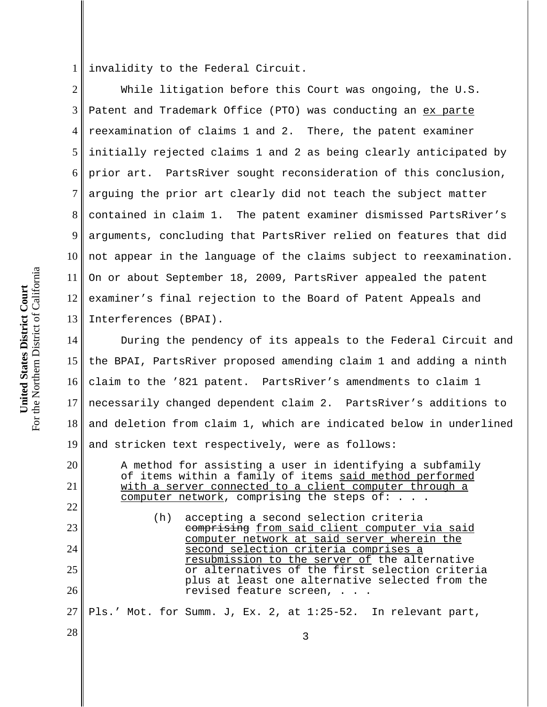1 invalidity to the Federal Circuit.

2 3 4 5 6 7 8 9 10 11 12 13 While litigation before this Court was ongoing, the U.S. Patent and Trademark Office (PTO) was conducting an ex parte reexamination of claims 1 and 2. There, the patent examiner initially rejected claims 1 and 2 as being clearly anticipated by prior art. PartsRiver sought reconsideration of this conclusion, arguing the prior art clearly did not teach the subject matter contained in claim 1. The patent examiner dismissed PartsRiver's arguments, concluding that PartsRiver relied on features that did not appear in the language of the claims subject to reexamination. On or about September 18, 2009, PartsRiver appealed the patent examiner's final rejection to the Board of Patent Appeals and Interferences (BPAI).

14 15 16 17 18 19 During the pendency of its appeals to the Federal Circuit and the BPAI, PartsRiver proposed amending claim 1 and adding a ninth claim to the '821 patent. PartsRiver's amendments to claim 1 necessarily changed dependent claim 2. PartsRiver's additions to and deletion from claim 1, which are indicated below in underlined and stricken text respectively, were as follows:

A method for assisting a user in identifying a subfamily of items within a family of items said method performed with a server connected to a client computer through a computer network, comprising the steps of:  $\ldots$ . (h) accepting a second selection criteria

comprising from said client computer via said computer network at said server wherein the second selection criteria comprises a resubmission to the server of the alternative or alternatives of the first selection criteria plus at least one alternative selected from the revised feature screen, . . .

27 Pls.' Mot. for Summ. J, Ex. 2, at 1:25-52. In relevant part,

 $\begin{array}{|c|c|c|c|c|}\n \hline\n 28 & 3 \\
\hline\n \end{array}$ 

For the Northern District of California For the Northern District of California United States District Court **United States District Court**

20

21

22

23

24

25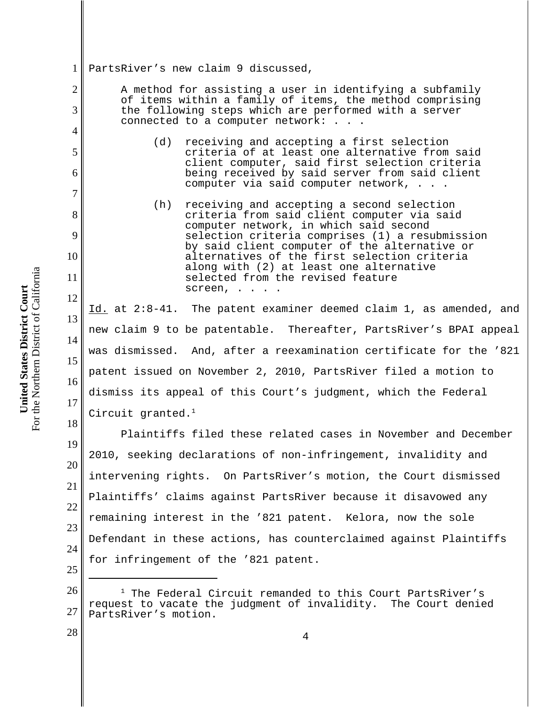For the Northern District of California For the Northern District of California United States District Court **United States District Court**

2

3

4

5

6

7

8

9

10

11

12

13

14

15

16

17

18

28

1 PartsRiver's new claim 9 discussed,

> A method for assisting a user in identifying a subfamily of items within a family of items, the method comprising the following steps which are performed with a server connected to a computer network: . . .

- (d) receiving and accepting a first selection criteria of at least one alternative from said client computer, said first selection criteria being received by said server from said client computer via said computer network, . . .
- (h) receiving and accepting a second selection criteria from said client computer via said computer network, in which said second selection criteria comprises (1) a resubmission by said client computer of the alternative or alternatives of the first selection criteria along with (2) at least one alternative selected from the revised feature screen, . . . .

Id. at 2:8-41. The patent examiner deemed claim 1, as amended, and new claim 9 to be patentable. Thereafter, PartsRiver's BPAI appeal was dismissed. And, after a reexamination certificate for the '821 patent issued on November 2, 2010, PartsRiver filed a motion to dismiss its appeal of this Court's judgment, which the Federal Circuit granted. $<sup>1</sup>$ </sup>

19 20 21 22 23 24 25 Plaintiffs filed these related cases in November and December 2010, seeking declarations of non-infringement, invalidity and intervening rights. On PartsRiver's motion, the Court dismissed Plaintiffs' claims against PartsRiver because it disavowed any remaining interest in the '821 patent. Kelora, now the sole Defendant in these actions, has counterclaimed against Plaintiffs for infringement of the '821 patent.

<sup>26</sup> 27 <sup>1</sup> The Federal Circuit remanded to this Court PartsRiver's request to vacate the judgment of invalidity. The Court denied PartsRiver's motion.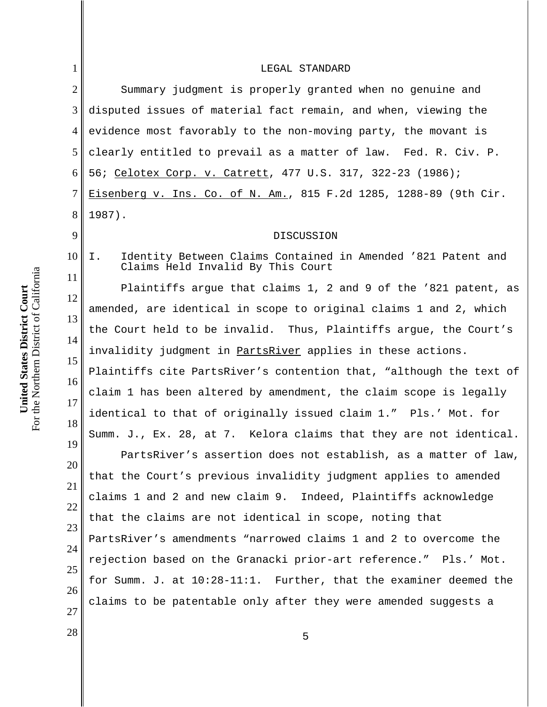| 1              | LEGAL STANDARD                                                                                                      |
|----------------|---------------------------------------------------------------------------------------------------------------------|
| $\overline{2}$ | Summary judgment is properly granted when no genuine and                                                            |
| 3              | disputed issues of material fact remain, and when, viewing the                                                      |
| $\overline{4}$ | evidence most favorably to the non-moving party, the movant is                                                      |
| 5              | clearly entitled to prevail as a matter of law. Fed. R. Civ. P.                                                     |
| 6              | 56; Celotex Corp. v. Catrett, 477 U.S. 317, 322-23 (1986);                                                          |
| 7              | Eisenberg v. Ins. Co. of N. Am., 815 F.2d 1285, 1288-89 (9th Cir.                                                   |
| 8              | $1987$ ).                                                                                                           |
| 9              | DISCUSSION                                                                                                          |
| 10             | Identity Between Claims Contained in Amended '821 Patent and<br>$\mathsf{T}$ .<br>Claims Held Invalid By This Court |
| 11             | Plaintiffs argue that claims 1, 2 and 9 of the '821 patent, as                                                      |
| 12             | amended, are identical in scope to original claims 1 and 2, which                                                   |
| 13             | the Court held to be invalid. Thus, Plaintiffs argue, the Court's                                                   |
| 14<br>15       | invalidity judgment in PartsRiver applies in these actions.                                                         |
| 16             | Plaintiffs cite PartsRiver's contention that, "although the text of                                                 |
| 17             | claim 1 has been altered by amendment, the claim scope is legally                                                   |
| 18             | identical to that of originally issued claim 1." Pls.' Mot. for                                                     |
| 19             | Summ. J., Ex. 28, at 7. Kelora claims that they are not identical.                                                  |
| 20             | PartsRiver's assertion does not establish, as a matter of law,                                                      |
| 21             | that the Court's previous invalidity judgment applies to amended                                                    |
| 22             | claims 1 and 2 and new claim 9. Indeed, Plaintiffs acknowledge                                                      |
| 23             | that the claims are not identical in scope, noting that                                                             |
| 24             | PartsRiver's amendments "narrowed claims 1 and 2 to overcome the                                                    |
| 25             | rejection based on the Granacki prior-art reference." Pls.' Mot.                                                    |
| 26             | for Summ. J. at 10:28-11:1. Further, that the examiner deemed the                                                   |
| 27             | claims to be patentable only after they were amended suggests a                                                     |

**United States District Court**<br>For the Northern District of California For the Northern District of California **United States District Court**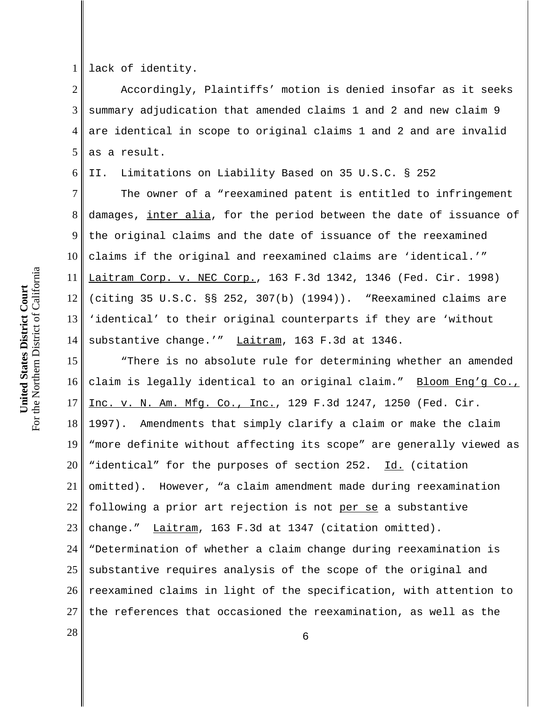For the Northern District of California For the Northern District of California United States District Court **United States District Court**

6

1 lack of identity.

2 3 4 5 Accordingly, Plaintiffs' motion is denied insofar as it seeks summary adjudication that amended claims 1 and 2 and new claim 9 are identical in scope to original claims 1 and 2 and are invalid as a result.

II. Limitations on Liability Based on 35 U.S.C. § 252

7 8 9 10 11 12 13 14 The owner of a "reexamined patent is entitled to infringement damages, inter alia, for the period between the date of issuance of the original claims and the date of issuance of the reexamined claims if the original and reexamined claims are 'identical.'" Laitram Corp. v. NEC Corp., 163 F.3d 1342, 1346 (Fed. Cir. 1998) (citing 35 U.S.C. §§ 252, 307(b) (1994)). "Reexamined claims are 'identical' to their original counterparts if they are 'without substantive change.'" Laitram, 163 F.3d at 1346.

15 16 17 18 19 20 21 22 23 24 25 26 27 "There is no absolute rule for determining whether an amended claim is legally identical to an original claim." Bloom Eng'g Co., Inc. v. N. Am. Mfg. Co., Inc., 129 F.3d 1247, 1250 (Fed. Cir. 1997). Amendments that simply clarify a claim or make the claim "more definite without affecting its scope" are generally viewed as "identical" for the purposes of section 252. Id. (citation omitted). However, "a claim amendment made during reexamination following a prior art rejection is not per se a substantive change." Laitram, 163 F.3d at 1347 (citation omitted). "Determination of whether a claim change during reexamination is substantive requires analysis of the scope of the original and reexamined claims in light of the specification, with attention to the references that occasioned the reexamination, as well as the

 $\begin{array}{c|c|c|c|c} \hline \text{28} & \text{6} \end{array}$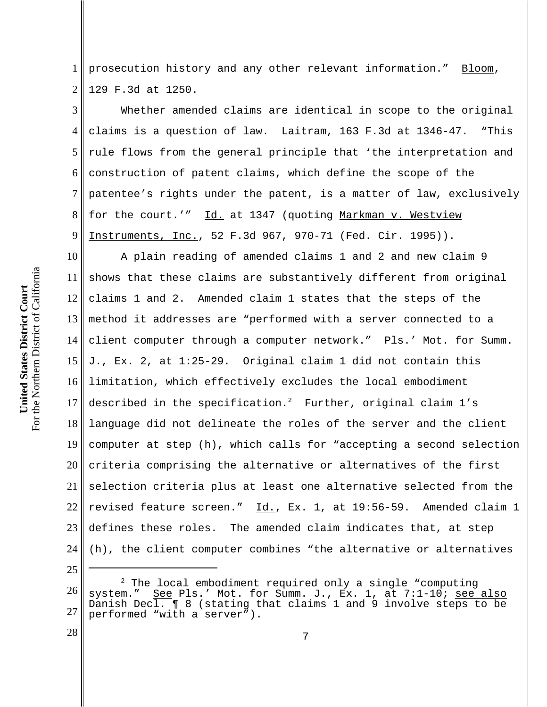1 2 prosecution history and any other relevant information." Bloom, 129 F.3d at 1250.

3 4 5 6 7 8 9 Whether amended claims are identical in scope to the original claims is a question of law.  $Lairam$ , 163 F.3d at 1346-47. "This rule flows from the general principle that 'the interpretation and construction of patent claims, which define the scope of the patentee's rights under the patent, is a matter of law, exclusively for the court.'" Id. at 1347 (quoting Markman v. Westview Instruments, Inc., 52 F.3d 967, 970-71 (Fed. Cir. 1995)).

10 11 12 13 14 15 16 17 18 19 20 21 22 23 24 A plain reading of amended claims 1 and 2 and new claim 9 shows that these claims are substantively different from original claims 1 and 2. Amended claim 1 states that the steps of the method it addresses are "performed with a server connected to a client computer through a computer network." Pls.' Mot. for Summ. J., Ex. 2, at 1:25-29. Original claim 1 did not contain this limitation, which effectively excludes the local embodiment described in the specification. $^2$  Further, original claim  $1^{\prime}\,\rm s$ language did not delineate the roles of the server and the client computer at step (h), which calls for "accepting a second selection criteria comprising the alternative or alternatives of the first selection criteria plus at least one alternative selected from the revised feature screen." Id., Ex. 1, at 19:56-59. Amended claim 1 defines these roles. The amended claim indicates that, at step (h), the client computer combines "the alternative or alternatives

26 27 <sup>2</sup> The local embodiment required only a single "computing system." See Pls.' Mot. for Summ. J., Ex. 1, at 7:1-10; see See Pls.' Mot. for Summ. J., Ex. 1, at 7:1-10; see also Danish Decl. ¶ 8 (stating that claims 1 and 9 involve steps to be performed "with a server").

25

28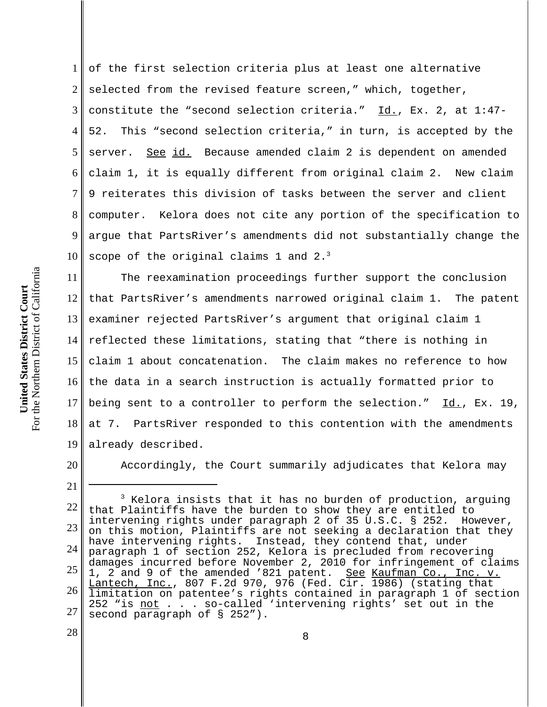1 2 3 4 5 6 7 8 9 10 of the first selection criteria plus at least one alternative selected from the revised feature screen," which, together, constitute the "second selection criteria."  $\underline{Id.}$ , Ex. 2, at 1:47-52. This "second selection criteria," in turn, is accepted by the server. See id. Because amended claim 2 is dependent on amended claim 1, it is equally different from original claim 2. New claim 9 reiterates this division of tasks between the server and client computer. Kelora does not cite any portion of the specification to argue that PartsRiver's amendments did not substantially change the scope of the original claims 1 and  $2.^3$ 

11 12 13 14 15 16 17 18 19 The reexamination proceedings further support the conclusion that PartsRiver's amendments narrowed original claim 1. The patent examiner rejected PartsRiver's argument that original claim 1 reflected these limitations, stating that "there is nothing in claim 1 about concatenation. The claim makes no reference to how the data in a search instruction is actually formatted prior to being sent to a controller to perform the selection." Id., Ex. 19, at 7. PartsRiver responded to this contention with the amendments already described.

20

21

28

Accordingly, the Court summarily adjudicates that Kelora may

For the Northern District of California For the Northern District of California United States District Court **United States District Court**

<sup>22</sup> 23 24 25 26 27  $3$  Kelora insists that it has no burden of production, arguing that Plaintiffs have the burden to show they are entitled to intervening rights under paragraph 2 of 35 U.S.C. § 252. However, on this motion, Plaintiffs are not seeking a declaration that they have intervening rights. Instead, they contend that, under paragraph 1 of section 252, Kelora is precluded from recovering damages incurred before November 2, 2010 for infringement of claims 1, 2 and 9 of the amended '821 patent. See Kaufman Co., Inc. v. Lantech, Inc., 807 F.2d 970, 976 (Fed. Cir. 1986) (stating that limitation on patentee's rights contained in paragraph 1 of section 252 "is not . . . so-called 'intervening rights' set out in the second paragraph of § 252").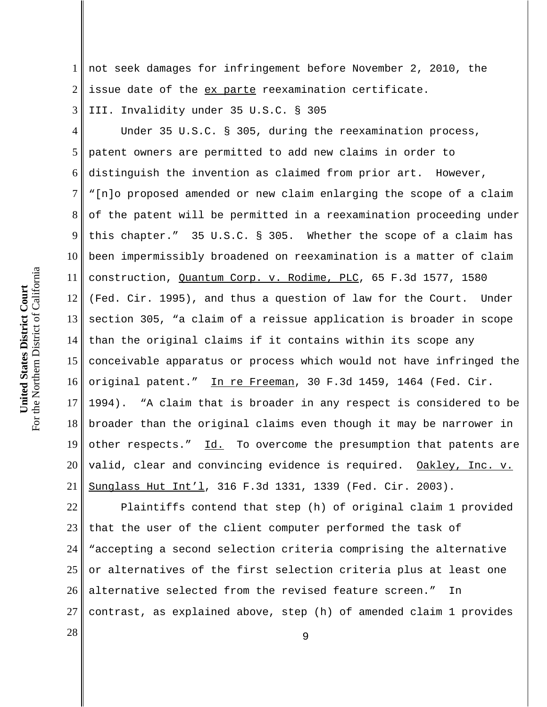1 2 not seek damages for infringement before November 2, 2010, the issue date of the ex parte reexamination certificate.

3 III. Invalidity under 35 U.S.C. § 305

4 5 6 7 8 9 10 11 12 13 14 15 16 17 18 19 20 21 Under 35 U.S.C. § 305, during the reexamination process, patent owners are permitted to add new claims in order to distinguish the invention as claimed from prior art. However, "[n]o proposed amended or new claim enlarging the scope of a claim of the patent will be permitted in a reexamination proceeding under this chapter." 35 U.S.C. § 305. Whether the scope of a claim has been impermissibly broadened on reexamination is a matter of claim construction, Quantum Corp. v. Rodime, PLC, 65 F.3d 1577, 1580 (Fed. Cir. 1995), and thus a question of law for the Court. Under section 305, "a claim of a reissue application is broader in scope than the original claims if it contains within its scope any conceivable apparatus or process which would not have infringed the original patent." In re Freeman, 30 F.3d 1459, 1464 (Fed. Cir. 1994). "A claim that is broader in any respect is considered to be broader than the original claims even though it may be narrower in other respects." Id. To overcome the presumption that patents are valid, clear and convincing evidence is required. Oakley, Inc. v. Sunglass Hut Int'l, 316 F.3d 1331, 1339 (Fed. Cir. 2003).

22 23 24 25 26 27 Plaintiffs contend that step (h) of original claim 1 provided that the user of the client computer performed the task of "accepting a second selection criteria comprising the alternative or alternatives of the first selection criteria plus at least one alternative selected from the revised feature screen." In contrast, as explained above, step (h) of amended claim 1 provides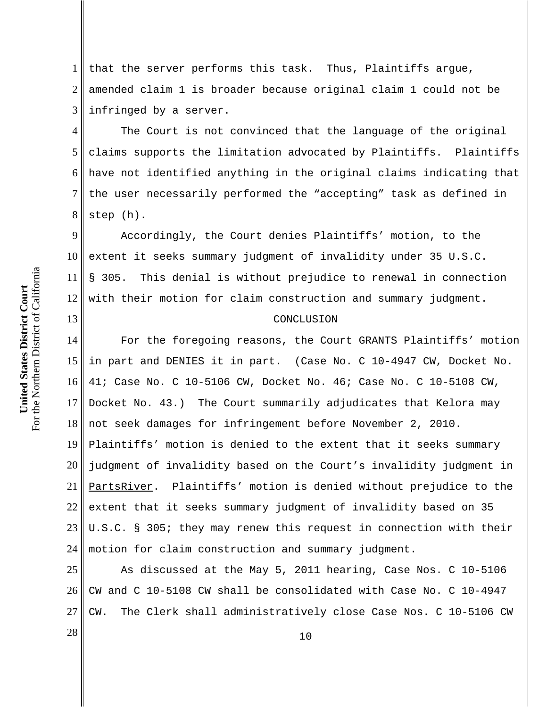1 2 3 that the server performs this task. Thus, Plaintiffs argue, amended claim 1 is broader because original claim 1 could not be infringed by a server.

4 5 6 7 8 The Court is not convinced that the language of the original claims supports the limitation advocated by Plaintiffs. Plaintiffs have not identified anything in the original claims indicating that the user necessarily performed the "accepting" task as defined in step (h).

9 10 11 12 Accordingly, the Court denies Plaintiffs' motion, to the extent it seeks summary judgment of invalidity under 35 U.S.C. § 305. This denial is without prejudice to renewal in connection with their motion for claim construction and summary judgment.

## CONCLUSION

14 15 16 17 18 19 20 21 22 23 24 For the foregoing reasons, the Court GRANTS Plaintiffs' motion in part and DENIES it in part. (Case No. C 10-4947 CW, Docket No. 41; Case No. C 10-5106 CW, Docket No. 46; Case No. C 10-5108 CW, Docket No. 43.) The Court summarily adjudicates that Kelora may not seek damages for infringement before November 2, 2010. Plaintiffs' motion is denied to the extent that it seeks summary judgment of invalidity based on the Court's invalidity judgment in PartsRiver. Plaintiffs' motion is denied without prejudice to the extent that it seeks summary judgment of invalidity based on 35 U.S.C. § 305; they may renew this request in connection with their motion for claim construction and summary judgment.

25 26 27 As discussed at the May 5, 2011 hearing, Case Nos. C 10-5106 CW and C 10-5108 CW shall be consolidated with Case No. C 10-4947 CW. The Clerk shall administratively close Case Nos. C 10-5106 CW

For the Northern District of California For the Northern District of California United States District Court **United States District Court**